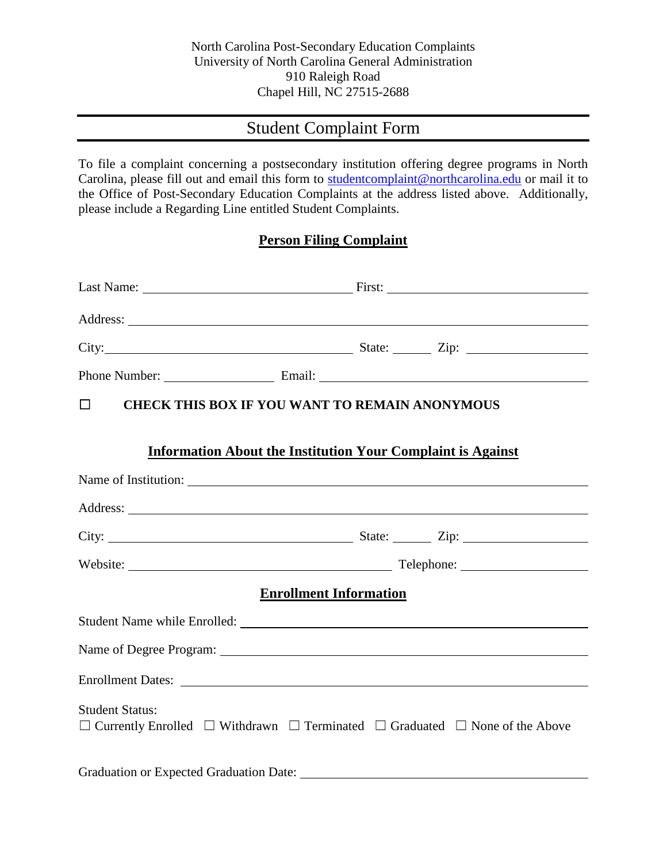## Student Complaint Form

To file a complaint concerning a postsecondary institution offering degree programs in North Carolina, please fill out and email this form to [studentcomplaint@northcarolina.edu](mailto:studentcomplaint@northcarolina.edu) or mail it to the Office of Post-Secondary Education Complaints at the address listed above. Additionally, please include a Regarding Line entitled Student Complaints.

## **Person Filing Complaint**

| Phone Number: Email: Email: Email:                                                                                               |  |  |  |  |  |
|----------------------------------------------------------------------------------------------------------------------------------|--|--|--|--|--|
| <b>CHECK THIS BOX IF YOU WANT TO REMAIN ANONYMOUS</b><br>$\Box$                                                                  |  |  |  |  |  |
| <b>Information About the Institution Your Complaint is Against</b>                                                               |  |  |  |  |  |
|                                                                                                                                  |  |  |  |  |  |
|                                                                                                                                  |  |  |  |  |  |
|                                                                                                                                  |  |  |  |  |  |
|                                                                                                                                  |  |  |  |  |  |
| <b>Enrollment Information</b>                                                                                                    |  |  |  |  |  |
|                                                                                                                                  |  |  |  |  |  |
|                                                                                                                                  |  |  |  |  |  |
|                                                                                                                                  |  |  |  |  |  |
| <b>Student Status:</b><br>$\Box$ Currently Enrolled $\Box$ Withdrawn $\Box$ Terminated $\Box$ Graduated $\Box$ None of the Above |  |  |  |  |  |
| <b>Graduation or Expected Graduation Date:</b>                                                                                   |  |  |  |  |  |